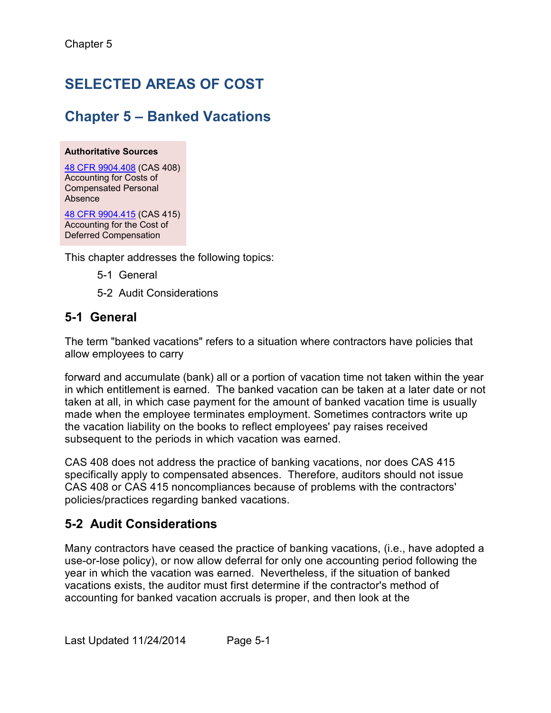# **SELECTED AREAS OF COST**

## **Chapter 5 – Banked Vacations**

#### **Authoritative Sources**

[48 CFR 9904.408](http://www.ecfr.gov/cgi-bin/text-idx?SID=f84d27ac7366a2224a53980a682f4bf5&node=pt48.7.9904&rgn=div5) (CAS 408) Accounting for Costs of Compensated Personal Absence

 Accounting for the Cost of [48 CFR 9904.415](http://www.ecfr.gov/cgi-bin/text-idx?SID=f84d27ac7366a2224a53980a682f4bf5&node=pt48.7.9904&rgn=div5) (CAS 415) Deferred Compensation

This chapter addresses the following topics:

- 5-1 General
- 5-2 Audit Considerations

### **5-1 General**

The term "banked vacations" refers to a situation where contractors have policies that allow employees to carry

 in which entitlement is earned. The banked vacation can be taken at a later date or not taken at all, in which case payment for the amount of banked vacation time is usually the vacation liability on the books to reflect employees' pay raises received forward and accumulate (bank) all or a portion of vacation time not taken within the year made when the employee terminates employment. Sometimes contractors write up subsequent to the periods in which vacation was earned.

 CAS 408 does not address the practice of banking vacations, nor does CAS 415 CAS 408 or CAS 415 noncompliances because of problems with the contractors' specifically apply to compensated absences. Therefore, auditors should not issue policies/practices regarding banked vacations.

## **5-2 Audit Considerations**

 Many contractors have ceased the practice of banking vacations, (i.e., have adopted a use-or-lose policy), or now allow deferral for only one accounting period following the vacations exists, the auditor must first determine if the contractor's method of accounting for banked vacation accruals is proper, and then look at the year in which the vacation was earned. Nevertheless, if the situation of banked